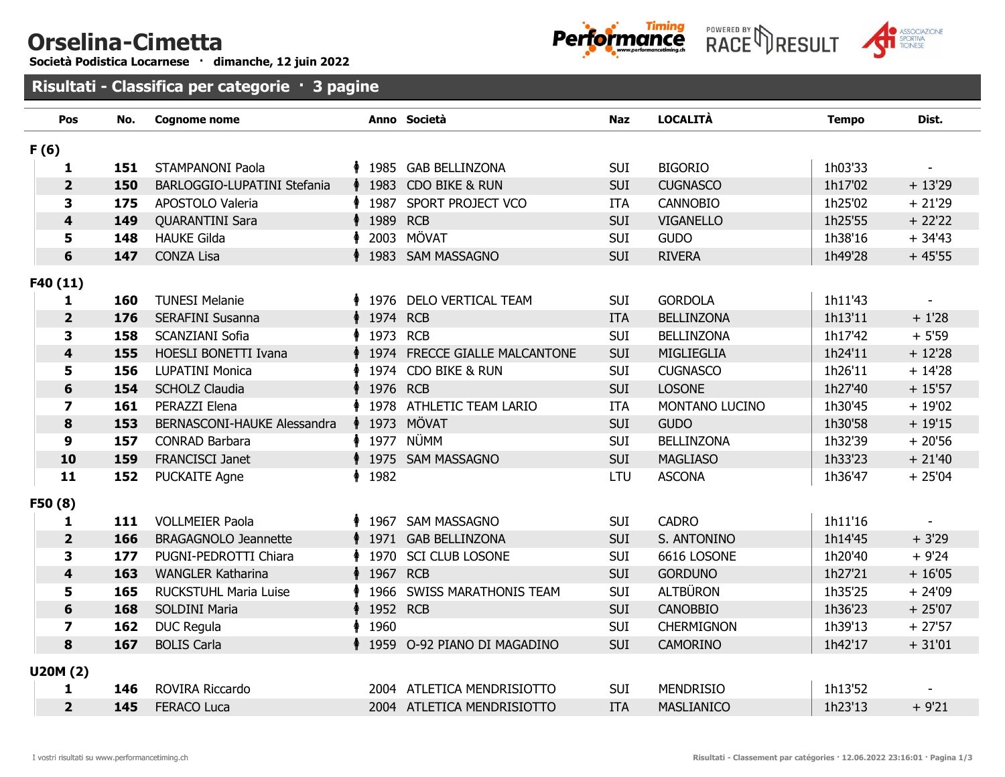## Orselina-Cimetta

Società Podistica Locarnese · dimanche, 12 juin 2022







Risultati - Class**ifica per categorie** · 3 pagine

| Pos                     | No. | <b>Cognome nome</b>         |                   | Anno Società                     | <b>Naz</b> | <b>LOCALITÀ</b>   | <b>Tempo</b> | Dist.     |
|-------------------------|-----|-----------------------------|-------------------|----------------------------------|------------|-------------------|--------------|-----------|
| F(6)                    |     |                             |                   |                                  |            |                   |              |           |
| 1                       | 151 | <b>STAMPANONI Paola</b>     |                   | † 1985 GAB BELLINZONA            | <b>SUI</b> | <b>BIGORIO</b>    | 1h03'33      |           |
| $\overline{2}$          | 150 | BARLOGGIO-LUPATINI Stefania |                   | <b>↑ 1983 CDO BIKE &amp; RUN</b> | <b>SUI</b> | <b>CUGNASCO</b>   | 1h17'02      | $+13'29$  |
| 3                       | 175 | APOSTOLO Valeria            |                   | ↑ 1987 SPORT PROJECT VCO         | <b>ITA</b> | <b>CANNOBIO</b>   | 1h25'02      | $+21'29$  |
| $\overline{\mathbf{4}}$ | 149 | <b>QUARANTINI Sara</b>      | <b>↑ 1989 RCB</b> |                                  | SUI        | <b>VIGANELLO</b>  | 1h25'55      | $+22'22$  |
| 5                       | 148 | <b>HAUKE Gilda</b>          |                   | 2003 MÖVAT                       | <b>SUI</b> | <b>GUDO</b>       | 1h38'16      | $+34'43$  |
| 6                       | 147 | <b>CONZA Lisa</b>           |                   | 1983 SAM MASSAGNO                | <b>SUI</b> | <b>RIVERA</b>     | 1h49'28      | $+45'55$  |
| F40 (11)                |     |                             |                   |                                  |            |                   |              |           |
| 1                       | 160 | <b>TUNESI Melanie</b>       |                   | ↑ 1976 DELO VERTICAL TEAM        | SUI        | <b>GORDOLA</b>    | 1h11'43      |           |
| $\overline{\mathbf{2}}$ | 176 | SERAFINI Susanna            | <b>↑ 1974 RCB</b> |                                  | <b>ITA</b> | <b>BELLINZONA</b> | 1h13'11      | $+1'28$   |
| $\overline{\mathbf{3}}$ | 158 | <b>SCANZIANI Sofia</b>      |                   | 1973 RCB                         | <b>SUI</b> | <b>BELLINZONA</b> | 1h17'42      | $+5'59$   |
| $\overline{\mathbf{4}}$ | 155 | <b>HOESLI BONETTI Ivana</b> |                   | ↑ 1974 FRECCE GIALLE MALCANTONE  | <b>SUI</b> | MIGLIEGLIA        | 1h24'11      | $+12'28$  |
| 5                       | 156 | <b>LUPATINI Monica</b>      |                   | 1974 CDO BIKE & RUN              | SUI        | <b>CUGNASCO</b>   | 1h26'11      | $+14'28$  |
| 6                       | 154 | <b>SCHOLZ Claudia</b>       | <b>↑ 1976 RCB</b> |                                  | <b>SUI</b> | <b>LOSONE</b>     | 1h27'40      | $+15'57$  |
| $\overline{z}$          | 161 | PERAZZI Elena               |                   | 1978 ATHLETIC TEAM LARIO         | <b>ITA</b> | MONTANO LUCINO    | 1h30'45      | $+19'02$  |
| 8                       | 153 | BERNASCONI-HAUKE Alessandra |                   | <b>1973 MÖVAT</b>                | <b>SUI</b> | <b>GUDO</b>       | 1h30'58      | $+19'15$  |
| 9                       | 157 | <b>CONRAD Barbara</b>       |                   | <b>↑ 1977 NÜMM</b>               | SUI        | <b>BELLINZONA</b> | 1h32'39      | $+20'56$  |
| 10                      | 159 | FRANCISCI Janet             |                   | � 1975 SAM MASSAGNO              | <b>SUI</b> | <b>MAGLIASO</b>   | 1h33'23      | $+ 21'40$ |
| 11                      | 152 | <b>PUCKAITE Agne</b>        | 1982              |                                  | <b>LTU</b> | <b>ASCONA</b>     | 1h36'47      | $+25'04$  |
| F50 <sub>(8)</sub>      |     |                             |                   |                                  |            |                   |              |           |
| 1                       | 111 | <b>VOLLMEIER Paola</b>      |                   | † 1967 SAM MASSAGNO              | <b>SUI</b> | <b>CADRO</b>      | 1h11'16      |           |
| $\overline{2}$          | 166 | <b>BRAGAGNOLO Jeannette</b> |                   | ↑ 1971 GAB BELLINZONA            | <b>SUI</b> | S. ANTONINO       | 1h14'45      | $+3'29$   |
| 3                       | 177 | PUGNI-PEDROTTI Chiara       |                   | 1970 SCI CLUB LOSONE             | <b>SUI</b> | 6616 LOSONE       | 1h20'40      | $+9'24$   |
| $\overline{\mathbf{4}}$ | 163 | <b>WANGLER Katharina</b>    | 1967 RCB↑         |                                  | <b>SUI</b> | <b>GORDUNO</b>    | 1h27'21      | $+16'05$  |
| 5                       | 165 | RUCKSTUHL Maria Luise       |                   | 1966 SWISS MARATHONIS TEAM       | <b>SUI</b> | <b>ALTBÜRON</b>   | 1h35'25      | $+24'09$  |
| 6                       | 168 | <b>SOLDINI Maria</b>        | <b>↑ 1952 RCB</b> |                                  | <b>SUI</b> | <b>CANOBBIO</b>   | 1h36'23      | $+25'07$  |
| $\overline{\mathbf{z}}$ | 162 | <b>DUC Regula</b>           | 1960 ∲            |                                  | <b>SUI</b> | <b>CHERMIGNON</b> | 1h39'13      | $+27'57$  |
| 8                       | 167 | <b>BOLIS Carla</b>          |                   | ↑ 1959 O-92 PIANO DI MAGADINO    | <b>SUI</b> | <b>CAMORINO</b>   | 1h42'17      | $+31'01$  |
| <b>U20M (2)</b>         |     |                             |                   |                                  |            |                   |              |           |
| 1                       | 146 | ROVIRA Riccardo             |                   | 2004 ATLETICA MENDRISIOTTO       | <b>SUI</b> | <b>MENDRISIO</b>  | 1h13'52      |           |
| $\overline{2}$          | 145 | <b>FERACO Luca</b>          |                   | 2004 ATLETICA MENDRISIOTTO       | <b>ITA</b> | <b>MASLIANICO</b> | 1h23'13      | $+9'21$   |
|                         |     |                             |                   |                                  |            |                   |              |           |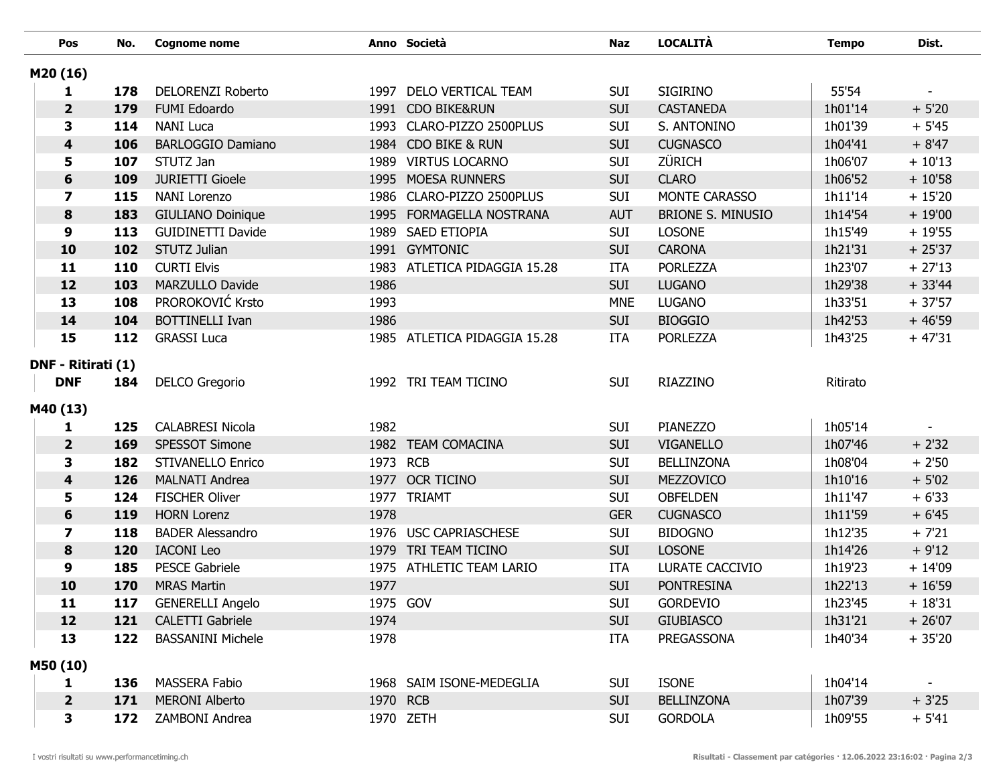|          | Pos                     | No. | <b>Cognome nome</b>      |          | Anno Società                 | <b>Naz</b> | <b>LOCALITÀ</b>          | <b>Tempo</b> | Dist.    |
|----------|-------------------------|-----|--------------------------|----------|------------------------------|------------|--------------------------|--------------|----------|
| M20 (16) |                         |     |                          |          |                              |            |                          |              |          |
|          | 1                       | 178 | DELORENZI Roberto        |          | 1997 DELO VERTICAL TEAM      | <b>SUI</b> | <b>SIGIRINO</b>          | 55'54        |          |
|          | $\overline{\mathbf{2}}$ | 179 | FUMI Edoardo             |          | 1991 CDO BIKE&RUN            | <b>SUI</b> | <b>CASTANEDA</b>         | 1h01'14      | $+5'20$  |
|          | 3                       | 114 | <b>NANI Luca</b>         |          | 1993 CLARO-PIZZO 2500PLUS    | <b>SUI</b> | S. ANTONINO              | 1h01'39      | $+5'45$  |
|          | 4                       | 106 | <b>BARLOGGIO Damiano</b> |          | 1984 CDO BIKE & RUN          | <b>SUI</b> | <b>CUGNASCO</b>          | 1h04'41      | $+8'47$  |
|          | 5                       | 107 | STUTZ Jan                |          | 1989 VIRTUS LOCARNO          | <b>SUI</b> | ZÜRICH                   | 1h06'07      | $+10'13$ |
|          | 6                       | 109 | <b>JURIETTI Gioele</b>   |          | 1995 MOESA RUNNERS           | <b>SUI</b> | <b>CLARO</b>             | 1h06'52      | $+10'58$ |
|          | $\overline{\mathbf{z}}$ | 115 | <b>NANI Lorenzo</b>      |          | 1986 CLARO-PIZZO 2500PLUS    | <b>SUI</b> | MONTE CARASSO            | 1h11'14      | $+15'20$ |
|          | 8                       | 183 | <b>GIULIANO Doinique</b> |          | 1995 FORMAGELLA NOSTRANA     | <b>AUT</b> | <b>BRIONE S. MINUSIO</b> | 1h14'54      | $+19'00$ |
|          | 9                       | 113 | <b>GUIDINETTI Davide</b> |          | 1989 SAED ETIOPIA            | <b>SUI</b> | <b>LOSONE</b>            | 1h15'49      | $+19'55$ |
|          | 10                      | 102 | STUTZ Julian             |          | 1991 GYMTONIC                | <b>SUI</b> | <b>CARONA</b>            | 1h21'31      | $+25'37$ |
|          | 11                      | 110 | <b>CURTI Elvis</b>       |          | 1983 ATLETICA PIDAGGIA 15.28 | <b>ITA</b> | <b>PORLEZZA</b>          | 1h23'07      | $+27'13$ |
|          | 12                      | 103 | MARZULLO Davide          | 1986     |                              | <b>SUI</b> | <b>LUGANO</b>            | 1h29'38      | $+33'44$ |
|          | 13                      | 108 | PROROKOVIĆ Krsto         | 1993     |                              | <b>MNE</b> | <b>LUGANO</b>            | 1h33'51      | $+37'57$ |
|          | 14                      | 104 | <b>BOTTINELLI Ivan</b>   | 1986     |                              | <b>SUI</b> | <b>BIOGGIO</b>           | 1h42'53      | $+46'59$ |
|          | 15                      | 112 | <b>GRASSI Luca</b>       |          | 1985 ATLETICA PIDAGGIA 15.28 | <b>ITA</b> | <b>PORLEZZA</b>          | 1h43'25      | $+47'31$ |
|          | DNF - Ritirati (1)      |     |                          |          |                              |            |                          |              |          |
|          | <b>DNF</b>              | 184 | <b>DELCO</b> Gregorio    |          | 1992 TRI TEAM TICINO         | <b>SUI</b> | RIAZZINO                 | Ritirato     |          |
|          |                         |     |                          |          |                              |            |                          |              |          |
| M40 (13) |                         |     |                          |          |                              |            |                          |              |          |
|          | 1                       | 125 | <b>CALABRESI Nicola</b>  | 1982     |                              | <b>SUI</b> | <b>PIANEZZO</b>          | 1h05'14      |          |
|          | $\overline{\mathbf{2}}$ | 169 | SPESSOT Simone           |          | 1982 TEAM COMACINA           | <b>SUI</b> | <b>VIGANELLO</b>         | 1h07'46      | $+2'32$  |
|          | 3                       | 182 | <b>STIVANELLO Enrico</b> | 1973 RCB |                              | <b>SUI</b> | <b>BELLINZONA</b>        | 1h08'04      | $+2'50$  |
|          | $\overline{\mathbf{4}}$ | 126 | <b>MALNATI Andrea</b>    |          | 1977 OCR TICINO              | <b>SUI</b> | <b>MEZZOVICO</b>         | 1h10'16      | $+5'02$  |
|          | 5                       | 124 | <b>FISCHER Oliver</b>    |          | 1977 TRIAMT                  | <b>SUI</b> | <b>OBFELDEN</b>          | 1h11'47      | $+6'33$  |
|          | 6                       | 119 | <b>HORN Lorenz</b>       | 1978     |                              | <b>GER</b> | <b>CUGNASCO</b>          | 1h11'59      | $+6'45$  |
|          | $\overline{\mathbf{z}}$ | 118 | <b>BADER Alessandro</b>  |          | 1976 USC CAPRIASCHESE        | <b>SUI</b> | <b>BIDOGNO</b>           | 1h12'35      | $+ 7'21$ |
|          | 8                       | 120 | <b>IACONI</b> Leo        |          | 1979 TRI TEAM TICINO         | <b>SUI</b> | <b>LOSONE</b>            | 1h14'26      | $+9'12$  |
|          | 9                       | 185 | <b>PESCE Gabriele</b>    |          | 1975 ATHLETIC TEAM LARIO     | <b>ITA</b> | LURATE CACCIVIO          | 1h19'23      | $+14'09$ |
|          | 10                      | 170 | <b>MRAS Martin</b>       | 1977     |                              | <b>SUI</b> | <b>PONTRESINA</b>        | 1h22'13      | $+16'59$ |
|          | 11                      | 117 | <b>GENERELLI Angelo</b>  |          | 1975 GOV                     | <b>SUI</b> | GORDEVIO                 | 1h23'45      | $+18'31$ |
|          | 12                      | 121 | <b>CALETTI</b> Gabriele  | 1974     |                              | <b>SUI</b> | <b>GIUBIASCO</b>         | 1h31'21      | $+26'07$ |
|          | 13                      | 122 | <b>BASSANINI Michele</b> | 1978     |                              | <b>ITA</b> | <b>PREGASSONA</b>        | 1h40'34      | $+35'20$ |
| M50 (10) |                         |     |                          |          |                              |            |                          |              |          |
|          | 1                       | 136 | <b>MASSERA Fabio</b>     |          | 1968 SAIM ISONE-MEDEGLIA     | SUI        | <b>ISONE</b>             | 1h04'14      | $\sim$   |
|          | $\overline{\mathbf{2}}$ | 171 | <b>MERONI Alberto</b>    | 1970 RCB |                              | <b>SUI</b> | <b>BELLINZONA</b>        | 1h07'39      | $+3'25$  |
|          | 3                       | 172 | ZAMBONI Andrea           |          | 1970 ZETH                    | <b>SUI</b> | <b>GORDOLA</b>           | 1h09'55      | $+ 5'41$ |
|          |                         |     |                          |          |                              |            |                          |              |          |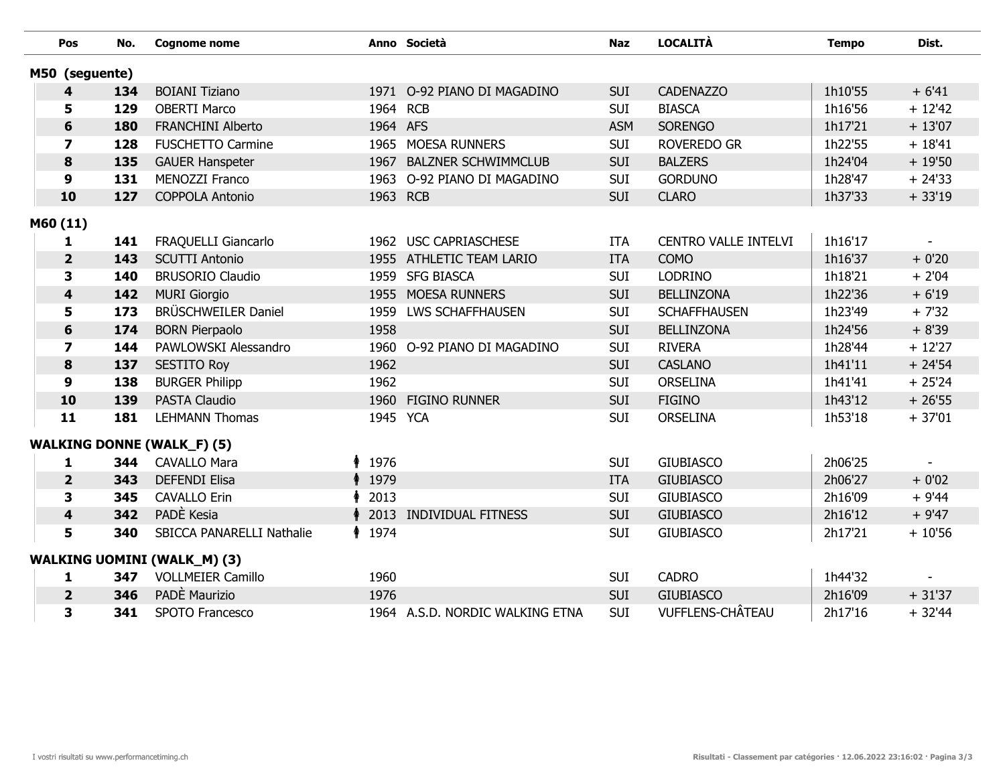| Pos                     | No. | <b>Cognome nome</b>                |          | Anno Società                    | <b>Naz</b> | <b>LOCALITÀ</b>         | <b>Tempo</b> | Dist.                    |
|-------------------------|-----|------------------------------------|----------|---------------------------------|------------|-------------------------|--------------|--------------------------|
| M50 (seguente)          |     |                                    |          |                                 |            |                         |              |                          |
| 4                       | 134 | <b>BOIANI Tiziano</b>              |          | 1971 O-92 PIANO DI MAGADINO     | <b>SUI</b> | <b>CADENAZZO</b>        | 1h10'55      | $+6'41$                  |
| 5                       | 129 | <b>OBERTI Marco</b>                | 1964 RCB |                                 | <b>SUI</b> | <b>BIASCA</b>           | 1h16'56      | $+ 12'42$                |
| 6                       | 180 | <b>FRANCHINI Alberto</b>           | 1964 AFS |                                 | <b>ASM</b> | <b>SORENGO</b>          | 1h17'21      | $+13'07$                 |
| $\overline{\mathbf{z}}$ | 128 | <b>FUSCHETTO Carmine</b>           |          | 1965 MOESA RUNNERS              | <b>SUI</b> | <b>ROVEREDO GR</b>      | 1h22'55      | $+18'41$                 |
| 8                       | 135 | <b>GAUER Hanspeter</b>             | 1967     | <b>BALZNER SCHWIMMCLUB</b>      | <b>SUI</b> | <b>BALZERS</b>          | 1h24'04      | $+19'50$                 |
| $\boldsymbol{9}$        | 131 | MENOZZI Franco                     |          | 1963 O-92 PIANO DI MAGADINO     | <b>SUI</b> | <b>GORDUNO</b>          | 1h28'47      | $+24'33$                 |
| 10                      | 127 | <b>COPPOLA Antonio</b>             | 1963 RCB |                                 | <b>SUI</b> | <b>CLARO</b>            | 1h37'33      | $+33'19$                 |
| M60 (11)                |     |                                    |          |                                 |            |                         |              |                          |
| 1                       | 141 | FRAQUELLI Giancarlo                |          | 1962 USC CAPRIASCHESE           | <b>ITA</b> | CENTRO VALLE INTELVI    | 1h16'17      | $\overline{\phantom{a}}$ |
| $\overline{2}$          | 143 | <b>SCUTTI Antonio</b>              |          | 1955 ATHLETIC TEAM LARIO        | <b>ITA</b> | <b>COMO</b>             | 1h16'37      | $+0'20$                  |
| 3                       | 140 | <b>BRUSORIO Claudio</b>            |          | 1959 SFG BIASCA                 | <b>SUI</b> | <b>LODRINO</b>          | 1h18'21      | $+2'04$                  |
| $\overline{\mathbf{4}}$ | 142 | <b>MURI Giorgio</b>                |          | 1955 MOESA RUNNERS              | <b>SUI</b> | <b>BELLINZONA</b>       | 1h22'36      | $+6'19$                  |
| 5                       | 173 | BRÜSCHWEILER Daniel                | 1959     | <b>LWS SCHAFFHAUSEN</b>         | <b>SUI</b> | <b>SCHAFFHAUSEN</b>     | 1h23'49      | $+7'32$                  |
| $6\phantom{1}6$         | 174 | <b>BORN Pierpaolo</b>              | 1958     |                                 | <b>SUI</b> | <b>BELLINZONA</b>       | 1h24'56      | $+8'39$                  |
| $\overline{\mathbf{z}}$ | 144 | PAWLOWSKI Alessandro               |          | 1960 O-92 PIANO DI MAGADINO     | <b>SUI</b> | <b>RIVERA</b>           | 1h28'44      | $+12'27$                 |
| 8                       | 137 | <b>SESTITO Roy</b>                 | 1962     |                                 | <b>SUI</b> | <b>CASLANO</b>          | 1h41'11      | $+24'54$                 |
| $\boldsymbol{9}$        | 138 | <b>BURGER Philipp</b>              | 1962     |                                 | <b>SUI</b> | <b>ORSELINA</b>         | 1h41'41      | $+25'24$                 |
| 10                      | 139 | <b>PASTA Claudio</b>               | 1960     | <b>FIGINO RUNNER</b>            | <b>SUI</b> | <b>FIGINO</b>           | 1h43'12      | $+26'55$                 |
| 11                      | 181 | <b>LEHMANN Thomas</b>              | 1945 YCA |                                 | <b>SUI</b> | ORSELINA                | 1h53'18      | $+37'01$                 |
|                         |     | <b>WALKING DONNE (WALK_F) (5)</b>  |          |                                 |            |                         |              |                          |
| 1                       | 344 | <b>CAVALLO Mara</b>                | ↑ 1976   |                                 | <b>SUI</b> | <b>GIUBIASCO</b>        | 2h06'25      |                          |
| $\overline{\mathbf{2}}$ | 343 | <b>DEFENDI Elisa</b>               | 1979     |                                 | <b>ITA</b> | <b>GIUBIASCO</b>        | 2h06'27      | $+0'02$                  |
| 3                       | 345 | <b>CAVALLO Erin</b>                | 2013     |                                 | <b>SUI</b> | <b>GIUBIASCO</b>        | 2h16'09      | $+9'44$                  |
| $\overline{\mathbf{4}}$ | 342 | PADÈ Kesia                         | 2013     | <b>INDIVIDUAL FITNESS</b>       | <b>SUI</b> | <b>GIUBIASCO</b>        | 2h16'12      | $+9'47$                  |
| 5                       | 340 | SBICCA PANARELLI Nathalie          | ↑ 1974   |                                 | <b>SUI</b> | <b>GIUBIASCO</b>        | 2h17'21      | $+10'56$                 |
|                         |     | <b>WALKING UOMINI (WALK_M) (3)</b> |          |                                 |            |                         |              |                          |
| 1                       | 347 | <b>VOLLMEIER Camillo</b>           | 1960     |                                 | <b>SUI</b> | <b>CADRO</b>            | 1h44'32      |                          |
| $\overline{\mathbf{2}}$ | 346 | PADÈ Maurizio                      | 1976     |                                 | <b>SUI</b> | <b>GIUBIASCO</b>        | 2h16'09      | $+31'37$                 |
| 3                       | 341 | SPOTO Francesco                    |          | 1964 A.S.D. NORDIC WALKING ETNA | <b>SUI</b> | <b>VUFFLENS-CHÂTEAU</b> | 2h17'16      | $+32'44$                 |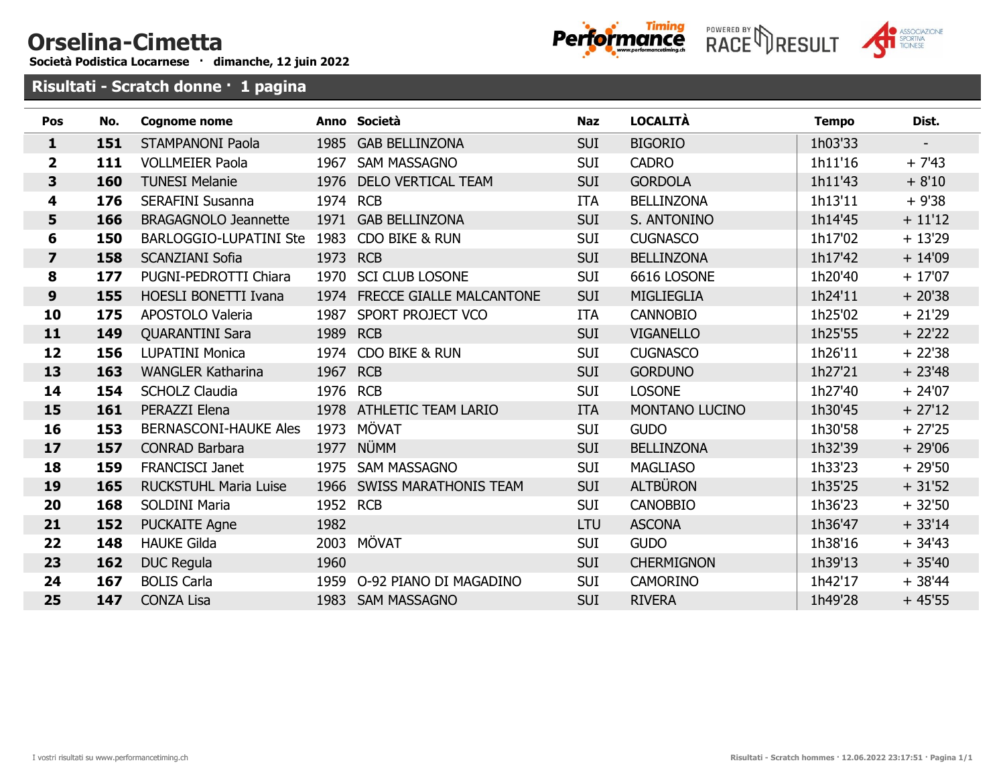## Orselina-Cimetta

Società Podistica Locarnese · dimanche, 12 juin 2022





Risultati - Scratch **donne** · 1 pagina

| Pos                     | No. | <b>Cognome nome</b>           |          | Anno Società                  | <b>Naz</b> | <b>LOCALITÀ</b>   | <b>Tempo</b> | Dist.     |
|-------------------------|-----|-------------------------------|----------|-------------------------------|------------|-------------------|--------------|-----------|
| $\mathbf{1}$            | 151 | <b>STAMPANONI Paola</b>       |          | 1985 GAB BELLINZONA           | <b>SUI</b> | <b>BIGORIO</b>    | 1h03'33      |           |
| $\overline{2}$          | 111 | <b>VOLLMEIER Paola</b>        | 1967     | <b>SAM MASSAGNO</b>           | SUI        | <b>CADRO</b>      | 1h11'16      | $+ 7'43$  |
| 3                       | 160 | <b>TUNESI Melanie</b>         |          | 1976 DELO VERTICAL TEAM       | <b>SUI</b> | <b>GORDOLA</b>    | 1h11'43      | $+8'10$   |
| 4                       | 176 | <b>SERAFINI Susanna</b>       | 1974 RCB |                               | <b>ITA</b> | <b>BELLINZONA</b> | 1h13'11      | $+9'38$   |
| 5                       | 166 | <b>BRAGAGNOLO Jeannette</b>   |          | 1971 GAB BELLINZONA           | <b>SUI</b> | S. ANTONINO       | 1h14'45      | $+ 11'12$ |
| 6                       | 150 | <b>BARLOGGIO-LUPATINI Ste</b> | 1983     | CDO BIKE & RUN                | <b>SUI</b> | <b>CUGNASCO</b>   | 1h17'02      | $+13'29$  |
| $\overline{\mathbf{z}}$ | 158 | <b>SCANZIANI Sofia</b>        | 1973 RCB |                               | <b>SUI</b> | <b>BELLINZONA</b> | 1h17'42      | $+14'09$  |
| 8                       | 177 | PUGNI-PEDROTTI Chiara         |          | 1970 SCI CLUB LOSONE          | <b>SUI</b> | 6616 LOSONE       | 1h20'40      | $+17'07$  |
| 9                       | 155 | <b>HOESLI BONETTI Ivana</b>   |          | 1974 FRECCE GIALLE MALCANTONE | <b>SUI</b> | MIGLIEGLIA        | 1h24'11      | $+20'38$  |
| 10                      | 175 | APOSTOLO Valeria              | 1987     | SPORT PROJECT VCO             | <b>ITA</b> | <b>CANNOBIO</b>   | 1h25'02      | $+21'29$  |
| 11                      | 149 | <b>QUARANTINI Sara</b>        | 1989     | <b>RCB</b>                    | <b>SUI</b> | <b>VIGANELLO</b>  | 1h25'55      | $+22'22$  |
| 12                      | 156 | <b>LUPATINI Monica</b>        | 1974     | CDO BIKE & RUN                | <b>SUI</b> | <b>CUGNASCO</b>   | 1h26'11      | $+22'38$  |
| 13                      | 163 | <b>WANGLER Katharina</b>      | 1967     | <b>RCB</b>                    | <b>SUI</b> | <b>GORDUNO</b>    | 1h27'21      | $+23'48$  |
| 14                      | 154 | <b>SCHOLZ Claudia</b>         | 1976     | <b>RCB</b>                    | <b>SUI</b> | <b>LOSONE</b>     | 1h27'40      | $+24'07$  |
| 15                      | 161 | PERAZZI Elena                 |          | 1978 ATHLETIC TEAM LARIO      | <b>ITA</b> | MONTANO LUCINO    | 1h30'45      | $+27'12$  |
| 16                      | 153 | <b>BERNASCONI-HAUKE Ales</b>  |          | 1973 MÖVAT                    | <b>SUI</b> | <b>GUDO</b>       | 1h30'58      | $+27'25$  |
| 17                      | 157 | <b>CONRAD Barbara</b>         |          | 1977 NÜMM                     | <b>SUI</b> | <b>BELLINZONA</b> | 1h32'39      | $+29'06$  |
| 18                      | 159 | <b>FRANCISCI Janet</b>        | 1975     | <b>SAM MASSAGNO</b>           | <b>SUI</b> | <b>MAGLIASO</b>   | 1h33'23      | $+29'50$  |
| 19                      | 165 | <b>RUCKSTUHL Maria Luise</b>  |          | 1966 SWISS MARATHONIS TEAM    | <b>SUI</b> | <b>ALTBÜRON</b>   | 1h35'25      | $+31'52$  |
| 20                      | 168 | <b>SOLDINI Maria</b>          | 1952 RCB |                               | <b>SUI</b> | <b>CANOBBIO</b>   | 1h36'23      | $+32'50$  |
| 21                      | 152 | <b>PUCKAITE Agne</b>          | 1982     |                               | LTU        | <b>ASCONA</b>     | 1h36'47      | $+33'14$  |
| 22                      | 148 | <b>HAUKE Gilda</b>            |          | 2003 MÖVAT                    | <b>SUI</b> | <b>GUDO</b>       | 1h38'16      | $+34'43$  |
| 23                      | 162 | <b>DUC Regula</b>             | 1960     |                               | <b>SUI</b> | <b>CHERMIGNON</b> | 1h39'13      | $+35'40$  |
| 24                      | 167 | <b>BOLIS Carla</b>            | 1959     | O-92 PIANO DI MAGADINO        | <b>SUI</b> | <b>CAMORINO</b>   | 1h42'17      | $+38'44$  |
| 25                      | 147 | <b>CONZA Lisa</b>             |          | 1983 SAM MASSAGNO             | <b>SUI</b> | <b>RIVERA</b>     | 1h49'28      | $+45'55$  |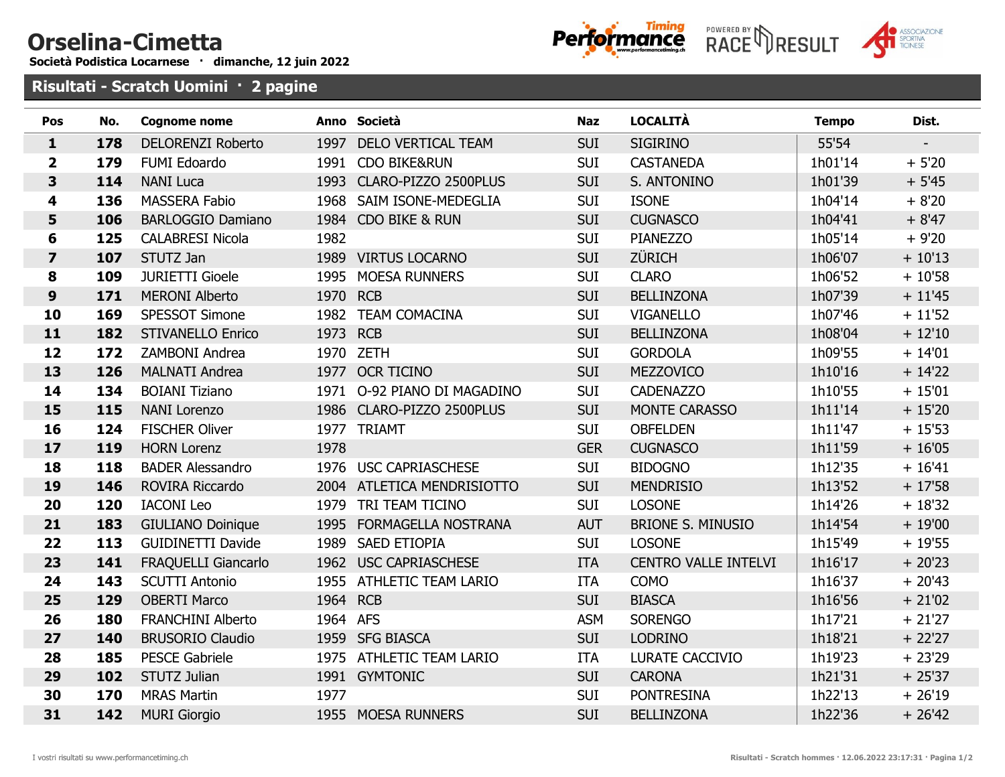## Orselina-Cimetta

Società Podistica Locarnese · dimanche, 12 juin 2022





Risultati - Scratch **Uomini** · 2 pagine

| Pos                     | No. | <b>Cognome nome</b>        |          | Anno Società                | <b>Naz</b> | <b>LOCALITÀ</b>             | <b>Tempo</b> | Dist.          |
|-------------------------|-----|----------------------------|----------|-----------------------------|------------|-----------------------------|--------------|----------------|
| $\mathbf{1}$            | 178 | <b>DELORENZI Roberto</b>   |          | 1997 DELO VERTICAL TEAM     | <b>SUI</b> | <b>SIGIRINO</b>             | 55'54        | $\blacksquare$ |
| $\overline{\mathbf{2}}$ | 179 | FUMI Edoardo               |          | 1991 CDO BIKE&RUN           | <b>SUI</b> | <b>CASTANEDA</b>            | 1h01'14      | $+5'20$        |
| $\overline{\mathbf{3}}$ | 114 | <b>NANI Luca</b>           |          | 1993 CLARO-PIZZO 2500PLUS   | <b>SUI</b> | S. ANTONINO                 | 1h01'39      | $+5'45$        |
| 4                       | 136 | <b>MASSERA Fabio</b>       |          | 1968 SAIM ISONE-MEDEGLIA    | <b>SUI</b> | <b>ISONE</b>                | 1h04'14      | $+8'20$        |
| 5                       | 106 | <b>BARLOGGIO Damiano</b>   |          | 1984 CDO BIKE & RUN         | <b>SUI</b> | <b>CUGNASCO</b>             | 1h04'41      | $+8'47$        |
| $6\phantom{1}$          | 125 | <b>CALABRESI Nicola</b>    | 1982     |                             | <b>SUI</b> | PIANEZZO                    | 1h05'14      | $+9'20$        |
| $\overline{\mathbf{z}}$ | 107 | STUTZ Jan                  |          | 1989 VIRTUS LOCARNO         | <b>SUI</b> | <b>ZÜRICH</b>               | 1h06'07      | $+10'13$       |
| $\pmb{8}$               | 109 | <b>JURIETTI Gioele</b>     |          | 1995 MOESA RUNNERS          | <b>SUI</b> | <b>CLARO</b>                | 1h06'52      | $+10'58$       |
| $\boldsymbol{9}$        | 171 | <b>MERONI Alberto</b>      | 1970 RCB |                             | <b>SUI</b> | <b>BELLINZONA</b>           | 1h07'39      | $+11'45$       |
| 10                      | 169 | SPESSOT Simone             |          | 1982 TEAM COMACINA          | <b>SUI</b> | <b>VIGANELLO</b>            | 1h07'46      | $+11'52$       |
| 11                      | 182 | <b>STIVANELLO Enrico</b>   | 1973 RCB |                             | <b>SUI</b> | <b>BELLINZONA</b>           | 1h08'04      | $+12'10$       |
| 12                      | 172 | ZAMBONI Andrea             |          | 1970 ZETH                   | <b>SUI</b> | <b>GORDOLA</b>              | 1h09'55      | $+ 14'01$      |
| 13                      | 126 | <b>MALNATI Andrea</b>      |          | 1977 OCR TICINO             | <b>SUI</b> | MEZZOVICO                   | 1h10'16      | $+ 14'22$      |
| 14                      | 134 | <b>BOIANI Tiziano</b>      |          | 1971 O-92 PIANO DI MAGADINO | <b>SUI</b> | <b>CADENAZZO</b>            | 1h10'55      | $+15'01$       |
| 15                      | 115 | <b>NANI Lorenzo</b>        |          | 1986 CLARO-PIZZO 2500PLUS   | <b>SUI</b> | MONTE CARASSO               | 1h11'14      | $+15'20$       |
| 16                      | 124 | <b>FISCHER Oliver</b>      |          | 1977 TRIAMT                 | <b>SUI</b> | <b>OBFELDEN</b>             | 1h11'47      | $+15'53$       |
| 17                      | 119 | <b>HORN Lorenz</b>         | 1978     |                             | <b>GER</b> | <b>CUGNASCO</b>             | 1h11'59      | $+16'05$       |
| 18                      | 118 | <b>BADER Alessandro</b>    |          | 1976 USC CAPRIASCHESE       | <b>SUI</b> | <b>BIDOGNO</b>              | 1h12'35      | $+16'41$       |
| 19                      | 146 | ROVIRA Riccardo            |          | 2004 ATLETICA MENDRISIOTTO  | <b>SUI</b> | <b>MENDRISIO</b>            | 1h13'52      | $+17'58$       |
| 20                      | 120 | <b>IACONI</b> Leo          |          | 1979 TRI TEAM TICINO        | <b>SUI</b> | <b>LOSONE</b>               | 1h14'26      | $+18'32$       |
| 21                      | 183 | <b>GIULIANO Doinique</b>   |          | 1995 FORMAGELLA NOSTRANA    | <b>AUT</b> | <b>BRIONE S. MINUSIO</b>    | 1h14'54      | $+19'00$       |
| 22                      | 113 | <b>GUIDINETTI Davide</b>   |          | 1989 SAED ETIOPIA           | <b>SUI</b> | <b>LOSONE</b>               | 1h15'49      | $+19'55$       |
| 23                      | 141 | <b>FRAQUELLI Giancarlo</b> |          | 1962 USC CAPRIASCHESE       | <b>ITA</b> | <b>CENTRO VALLE INTELVI</b> | 1h16'17      | $+20'23$       |
| 24                      | 143 | <b>SCUTTI Antonio</b>      |          | 1955 ATHLETIC TEAM LARIO    | <b>ITA</b> | COMO                        | 1h16'37      | $+20'43$       |
| 25                      | 129 | <b>OBERTI Marco</b>        | 1964 RCB |                             | <b>SUI</b> | <b>BIASCA</b>               | 1h16'56      | $+21'02$       |
| 26                      | 180 | <b>FRANCHINI Alberto</b>   | 1964 AFS |                             | <b>ASM</b> | <b>SORENGO</b>              | 1h17'21      | $+21'27$       |
| 27                      | 140 | <b>BRUSORIO Claudio</b>    |          | 1959 SFG BIASCA             | <b>SUI</b> | <b>LODRINO</b>              | 1h18'21      | $+22'27$       |
| 28                      | 185 | <b>PESCE Gabriele</b>      |          | 1975 ATHLETIC TEAM LARIO    | <b>ITA</b> | LURATE CACCIVIO             | 1h19'23      | $+23'29$       |
| 29                      | 102 | <b>STUTZ Julian</b>        |          | 1991 GYMTONIC               | <b>SUI</b> | <b>CARONA</b>               | 1h21'31      | $+25'37$       |
| 30                      | 170 | <b>MRAS Martin</b>         | 1977     |                             | <b>SUI</b> | <b>PONTRESINA</b>           | 1h22'13      | $+26'19$       |
| 31                      | 142 | <b>MURI Giorgio</b>        |          | 1955 MOESA RUNNERS          | <b>SUI</b> | <b>BELLINZONA</b>           | 1h22'36      | $+26'42$       |